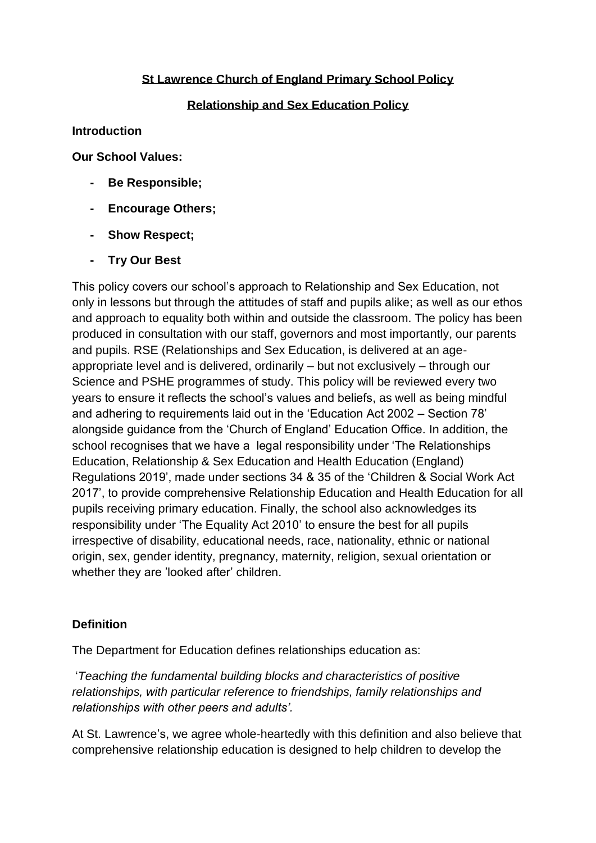## **St Lawrence Church of England Primary School Policy**

## **Relationship and Sex Education Policy**

### **Introduction**

**Our School Values:**

- **- Be Responsible;**
- **- Encourage Others;**
- **- Show Respect;**
- **- Try Our Best**

This policy covers our school's approach to Relationship and Sex Education, not only in lessons but through the attitudes of staff and pupils alike; as well as our ethos and approach to equality both within and outside the classroom. The policy has been produced in consultation with our staff, governors and most importantly, our parents and pupils. RSE (Relationships and Sex Education, is delivered at an ageappropriate level and is delivered, ordinarily – but not exclusively – through our Science and PSHE programmes of study. This policy will be reviewed every two years to ensure it reflects the school's values and beliefs, as well as being mindful and adhering to requirements laid out in the 'Education Act 2002 – Section 78' alongside guidance from the 'Church of England' Education Office. In addition, the school recognises that we have a legal responsibility under 'The Relationships Education, Relationship & Sex Education and Health Education (England) Regulations 2019', made under sections 34 & 35 of the 'Children & Social Work Act 2017', to provide comprehensive Relationship Education and Health Education for all pupils receiving primary education. Finally, the school also acknowledges its responsibility under 'The Equality Act 2010' to ensure the best for all pupils irrespective of disability, educational needs, race, nationality, ethnic or national origin, sex, gender identity, pregnancy, maternity, religion, sexual orientation or whether they are 'looked after' children.

## **Definition**

The Department for Education defines relationships education as:

'*Teaching the fundamental building blocks and characteristics of positive relationships, with particular reference to friendships, family relationships and relationships with other peers and adults'.*

At St. Lawrence's, we agree whole-heartedly with this definition and also believe that comprehensive relationship education is designed to help children to develop the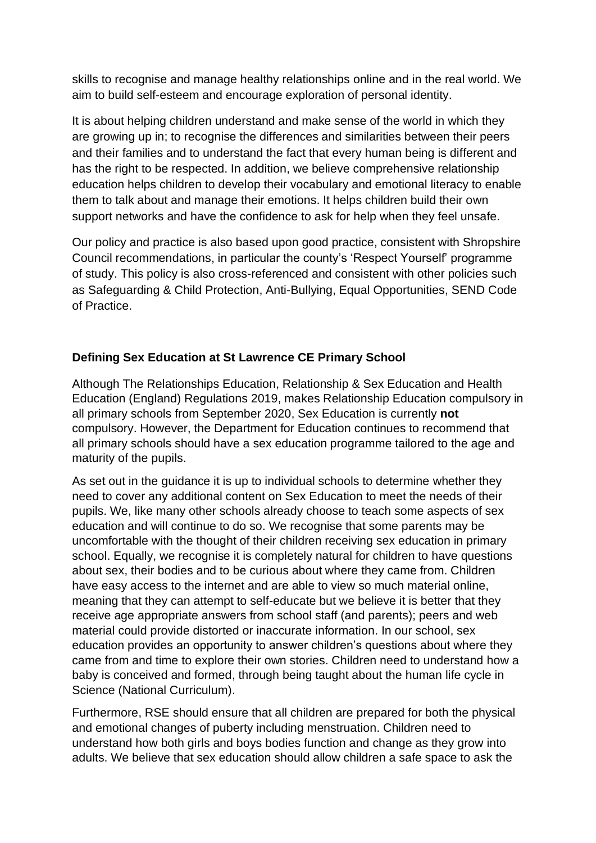skills to recognise and manage healthy relationships online and in the real world. We aim to build self-esteem and encourage exploration of personal identity.

It is about helping children understand and make sense of the world in which they are growing up in; to recognise the differences and similarities between their peers and their families and to understand the fact that every human being is different and has the right to be respected. In addition, we believe comprehensive relationship education helps children to develop their vocabulary and emotional literacy to enable them to talk about and manage their emotions. It helps children build their own support networks and have the confidence to ask for help when they feel unsafe.

Our policy and practice is also based upon good practice, consistent with Shropshire Council recommendations, in particular the county's 'Respect Yourself' programme of study. This policy is also cross-referenced and consistent with other policies such as Safeguarding & Child Protection, Anti-Bullying, Equal Opportunities, SEND Code of Practice.

# **Defining Sex Education at St Lawrence CE Primary School**

Although The Relationships Education, Relationship & Sex Education and Health Education (England) Regulations 2019, makes Relationship Education compulsory in all primary schools from September 2020, Sex Education is currently **not** compulsory. However, the Department for Education continues to recommend that all primary schools should have a sex education programme tailored to the age and maturity of the pupils.

As set out in the guidance it is up to individual schools to determine whether they need to cover any additional content on Sex Education to meet the needs of their pupils. We, like many other schools already choose to teach some aspects of sex education and will continue to do so. We recognise that some parents may be uncomfortable with the thought of their children receiving sex education in primary school. Equally, we recognise it is completely natural for children to have questions about sex, their bodies and to be curious about where they came from. Children have easy access to the internet and are able to view so much material online, meaning that they can attempt to self-educate but we believe it is better that they receive age appropriate answers from school staff (and parents); peers and web material could provide distorted or inaccurate information. In our school, sex education provides an opportunity to answer children's questions about where they came from and time to explore their own stories. Children need to understand how a baby is conceived and formed, through being taught about the human life cycle in Science (National Curriculum).

Furthermore, RSE should ensure that all children are prepared for both the physical and emotional changes of puberty including menstruation. Children need to understand how both girls and boys bodies function and change as they grow into adults. We believe that sex education should allow children a safe space to ask the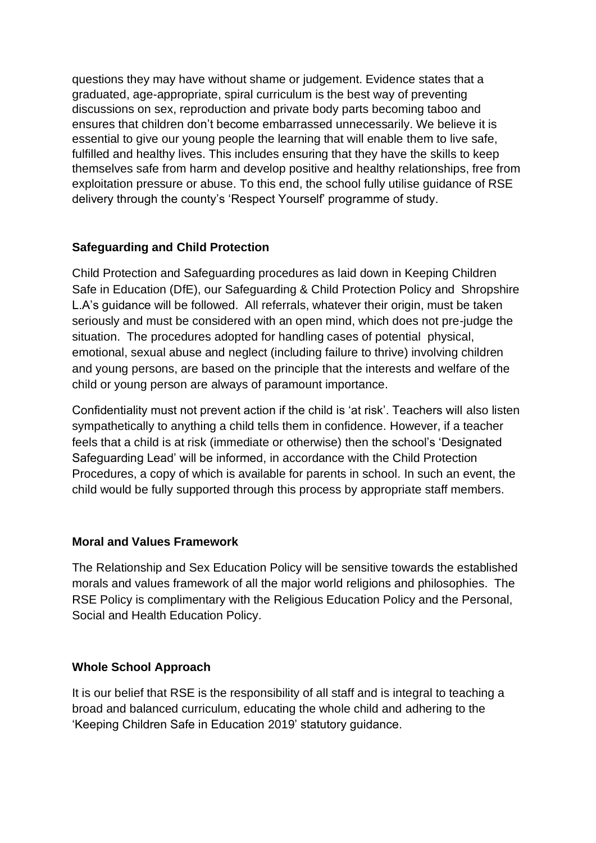questions they may have without shame or judgement. Evidence states that a graduated, age-appropriate, spiral curriculum is the best way of preventing discussions on sex, reproduction and private body parts becoming taboo and ensures that children don't become embarrassed unnecessarily. We believe it is essential to give our young people the learning that will enable them to live safe, fulfilled and healthy lives. This includes ensuring that they have the skills to keep themselves safe from harm and develop positive and healthy relationships, free from exploitation pressure or abuse. To this end, the school fully utilise guidance of RSE delivery through the county's 'Respect Yourself' programme of study.

### **Safeguarding and Child Protection**

Child Protection and Safeguarding procedures as laid down in Keeping Children Safe in Education (DfE), our Safeguarding & Child Protection Policy and Shropshire L.A's guidance will be followed. All referrals, whatever their origin, must be taken seriously and must be considered with an open mind, which does not pre-judge the situation. The procedures adopted for handling cases of potential physical, emotional, sexual abuse and neglect (including failure to thrive) involving children and young persons, are based on the principle that the interests and welfare of the child or young person are always of paramount importance.

Confidentiality must not prevent action if the child is 'at risk'. Teachers will also listen sympathetically to anything a child tells them in confidence. However, if a teacher feels that a child is at risk (immediate or otherwise) then the school's 'Designated Safeguarding Lead' will be informed, in accordance with the Child Protection Procedures, a copy of which is available for parents in school. In such an event, the child would be fully supported through this process by appropriate staff members.

## **Moral and Values Framework**

The Relationship and Sex Education Policy will be sensitive towards the established morals and values framework of all the major world religions and philosophies. The RSE Policy is complimentary with the Religious Education Policy and the Personal, Social and Health Education Policy.

## **Whole School Approach**

It is our belief that RSE is the responsibility of all staff and is integral to teaching a broad and balanced curriculum, educating the whole child and adhering to the 'Keeping Children Safe in Education 2019' statutory guidance.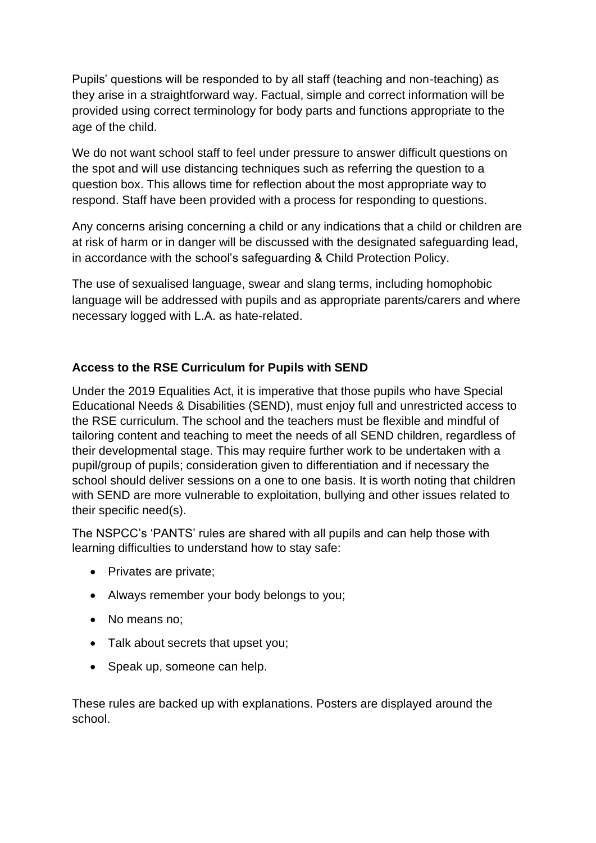Pupils' questions will be responded to by all staff (teaching and non-teaching) as they arise in a straightforward way. Factual, simple and correct information will be provided using correct terminology for body parts and functions appropriate to the age of the child.

We do not want school staff to feel under pressure to answer difficult questions on the spot and will use distancing techniques such as referring the question to a question box. This allows time for reflection about the most appropriate way to respond. Staff have been provided with a process for responding to questions.

Any concerns arising concerning a child or any indications that a child or children are at risk of harm or in danger will be discussed with the designated safeguarding lead, in accordance with the school's safeguarding & Child Protection Policy.

The use of sexualised language, swear and slang terms, including homophobic language will be addressed with pupils and as appropriate parents/carers and where necessary logged with L.A. as hate-related.

# **Access to the RSE Curriculum for Pupils with SEND**

Under the 2019 Equalities Act, it is imperative that those pupils who have Special Educational Needs & Disabilities (SEND), must enjoy full and unrestricted access to the RSE curriculum. The school and the teachers must be flexible and mindful of tailoring content and teaching to meet the needs of all SEND children, regardless of their developmental stage. This may require further work to be undertaken with a pupil/group of pupils; consideration given to differentiation and if necessary the school should deliver sessions on a one to one basis. It is worth noting that children with SEND are more vulnerable to exploitation, bullying and other issues related to their specific need(s).

The NSPCC's 'PANTS' rules are shared with all pupils and can help those with learning difficulties to understand how to stay safe:

- Privates are private;
- Always remember your body belongs to you;
- No means no:
- Talk about secrets that upset you;
- Speak up, someone can help.

These rules are backed up with explanations. Posters are displayed around the school.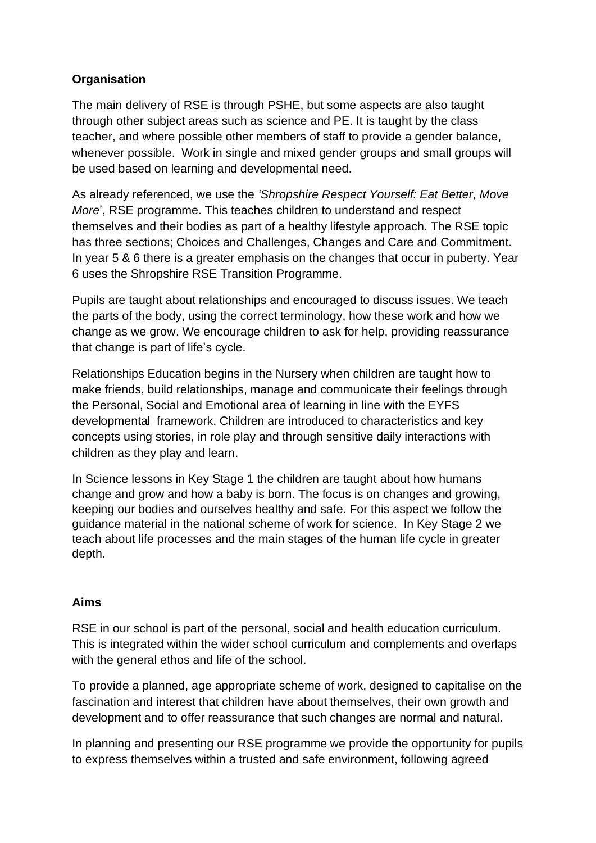# **Organisation**

The main delivery of RSE is through PSHE, but some aspects are also taught through other subject areas such as science and PE. It is taught by the class teacher, and where possible other members of staff to provide a gender balance, whenever possible. Work in single and mixed gender groups and small groups will be used based on learning and developmental need.

As already referenced, we use the *'Shropshire Respect Yourself: Eat Better, Move More*', RSE programme. This teaches children to understand and respect themselves and their bodies as part of a healthy lifestyle approach. The RSE topic has three sections; Choices and Challenges, Changes and Care and Commitment. In year 5 & 6 there is a greater emphasis on the changes that occur in puberty. Year 6 uses the Shropshire RSE Transition Programme.

Pupils are taught about relationships and encouraged to discuss issues. We teach the parts of the body, using the correct terminology, how these work and how we change as we grow. We encourage children to ask for help, providing reassurance that change is part of life's cycle.

Relationships Education begins in the Nursery when children are taught how to make friends, build relationships, manage and communicate their feelings through the Personal, Social and Emotional area of learning in line with the EYFS developmental framework. Children are introduced to characteristics and key concepts using stories, in role play and through sensitive daily interactions with children as they play and learn.

In Science lessons in Key Stage 1 the children are taught about how humans change and grow and how a baby is born. The focus is on changes and growing, keeping our bodies and ourselves healthy and safe. For this aspect we follow the guidance material in the national scheme of work for science. In Key Stage 2 we teach about life processes and the main stages of the human life cycle in greater depth.

## **Aims**

RSE in our school is part of the personal, social and health education curriculum. This is integrated within the wider school curriculum and complements and overlaps with the general ethos and life of the school.

To provide a planned, age appropriate scheme of work, designed to capitalise on the fascination and interest that children have about themselves, their own growth and development and to offer reassurance that such changes are normal and natural.

In planning and presenting our RSE programme we provide the opportunity for pupils to express themselves within a trusted and safe environment, following agreed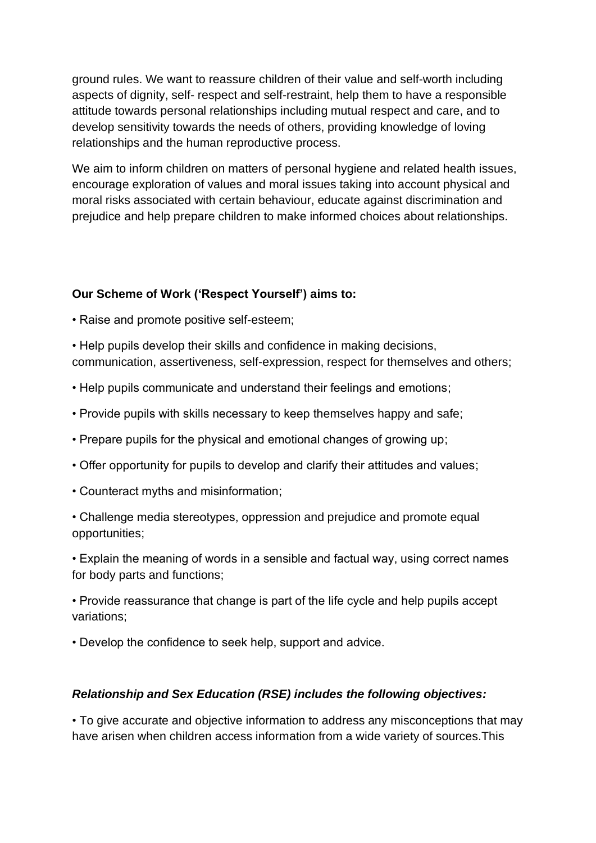ground rules. We want to reassure children of their value and self-worth including aspects of dignity, self- respect and self-restraint, help them to have a responsible attitude towards personal relationships including mutual respect and care, and to develop sensitivity towards the needs of others, providing knowledge of loving relationships and the human reproductive process.

We aim to inform children on matters of personal hygiene and related health issues, encourage exploration of values and moral issues taking into account physical and moral risks associated with certain behaviour, educate against discrimination and prejudice and help prepare children to make informed choices about relationships.

# **Our Scheme of Work ('Respect Yourself') aims to:**

- Raise and promote positive self-esteem;
- Help pupils develop their skills and confidence in making decisions, communication, assertiveness, self-expression, respect for themselves and others;
- Help pupils communicate and understand their feelings and emotions;
- Provide pupils with skills necessary to keep themselves happy and safe;
- Prepare pupils for the physical and emotional changes of growing up;
- Offer opportunity for pupils to develop and clarify their attitudes and values;
- Counteract myths and misinformation;

• Challenge media stereotypes, oppression and prejudice and promote equal opportunities;

• Explain the meaning of words in a sensible and factual way, using correct names for body parts and functions;

• Provide reassurance that change is part of the life cycle and help pupils accept variations;

• Develop the confidence to seek help, support and advice.

## *Relationship and Sex Education (RSE) includes the following objectives:*

• To give accurate and objective information to address any misconceptions that may have arisen when children access information from a wide variety of sources.This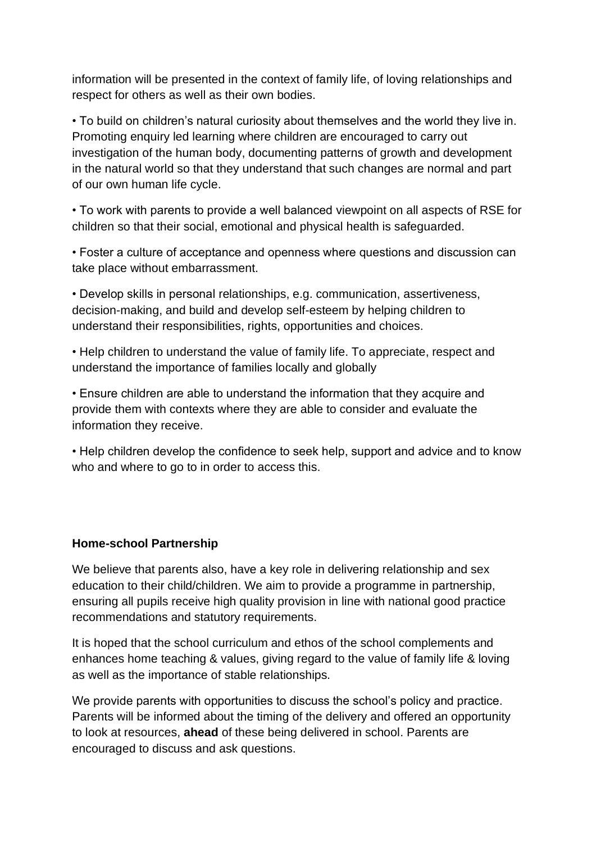information will be presented in the context of family life, of loving relationships and respect for others as well as their own bodies.

• To build on children's natural curiosity about themselves and the world they live in. Promoting enquiry led learning where children are encouraged to carry out investigation of the human body, documenting patterns of growth and development in the natural world so that they understand that such changes are normal and part of our own human life cycle.

• To work with parents to provide a well balanced viewpoint on all aspects of RSE for children so that their social, emotional and physical health is safeguarded.

• Foster a culture of acceptance and openness where questions and discussion can take place without embarrassment.

• Develop skills in personal relationships, e.g. communication, assertiveness, decision-making, and build and develop self-esteem by helping children to understand their responsibilities, rights, opportunities and choices.

• Help children to understand the value of family life. To appreciate, respect and understand the importance of families locally and globally

• Ensure children are able to understand the information that they acquire and provide them with contexts where they are able to consider and evaluate the information they receive.

• Help children develop the confidence to seek help, support and advice and to know who and where to go to in order to access this.

#### **Home-school Partnership**

We believe that parents also, have a key role in delivering relationship and sex education to their child/children. We aim to provide a programme in partnership, ensuring all pupils receive high quality provision in line with national good practice recommendations and statutory requirements.

It is hoped that the school curriculum and ethos of the school complements and enhances home teaching & values, giving regard to the value of family life & loving as well as the importance of stable relationships.

We provide parents with opportunities to discuss the school's policy and practice. Parents will be informed about the timing of the delivery and offered an opportunity to look at resources, **ahead** of these being delivered in school. Parents are encouraged to discuss and ask questions.